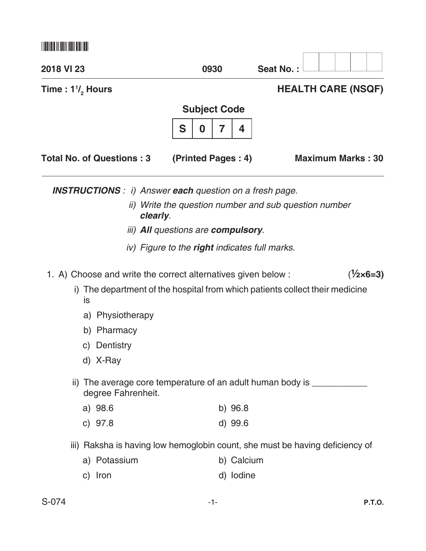| 2018 VI 23                                                            | 0930                                                      | Seat No.:                                                                    |
|-----------------------------------------------------------------------|-----------------------------------------------------------|------------------------------------------------------------------------------|
| Time: $1\frac{1}{2}$ Hours                                            |                                                           | <b>HEALTH CARE (NSQF)</b>                                                    |
|                                                                       | <b>Subject Code</b>                                       |                                                                              |
|                                                                       | S<br>7<br>4<br>0                                          |                                                                              |
| <b>Total No. of Questions: 3</b>                                      | (Printed Pages: 4)                                        | <b>Maximum Marks: 30</b>                                                     |
| <b>INSTRUCTIONS</b> : i) Answer <b>each</b> question on a fresh page. |                                                           |                                                                              |
|                                                                       | clearly.                                                  | ii) Write the question number and sub question number                        |
|                                                                       | <i>iii</i> ) <b>All</b> questions are <b>compulsory</b> . |                                                                              |
|                                                                       | iv) Figure to the <b>right</b> indicates full marks.      |                                                                              |
| 1. A) Choose and write the correct alternatives given below:          |                                                           | $(\frac{1}{2} \times 6 = 3)$                                                 |
|                                                                       |                                                           | i) The department of the hospital from which patients collect their medicine |
| is                                                                    |                                                           |                                                                              |
| a) Physiotherapy                                                      |                                                           |                                                                              |
| Pharmacy<br>b)                                                        |                                                           |                                                                              |
| c) Dentistry                                                          |                                                           |                                                                              |
| d) X-Ray                                                              |                                                           |                                                                              |
| degree Fahrenheit.                                                    |                                                           | ii) The average core temperature of an adult human body is __________        |
| a) 98.6                                                               | $b)$ 96.8                                                 |                                                                              |
| c) $97.8$                                                             | d) 99.6                                                   |                                                                              |
|                                                                       |                                                           | iii) Raksha is having low hemoglobin count, she must be having deficiency of |
| a) Potassium                                                          | b) Calcium                                                |                                                                              |
| c) Iron                                                               | d) lodine                                                 |                                                                              |
| S-074                                                                 | -1-                                                       | <b>P.T.O.</b>                                                                |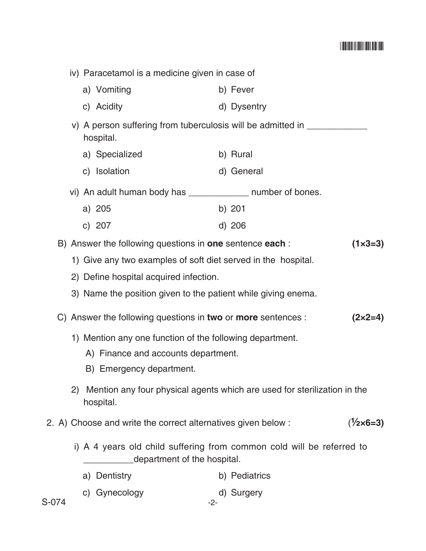## \*S074\*

|                                                                                                      |                                                                                | iv) Paracetamol is a medicine given in case of |                                                               |                                                                           |  |  |
|------------------------------------------------------------------------------------------------------|--------------------------------------------------------------------------------|------------------------------------------------|---------------------------------------------------------------|---------------------------------------------------------------------------|--|--|
|                                                                                                      |                                                                                |                                                | a) Vomiting                                                   | b) Fever                                                                  |  |  |
|                                                                                                      |                                                                                |                                                | c) Acidity                                                    | d) Dysentry                                                               |  |  |
| hospital.                                                                                            |                                                                                |                                                |                                                               | v) A person suffering from tuberculosis will be admitted in _____________ |  |  |
|                                                                                                      |                                                                                |                                                | a) Specialized                                                | b) Rural                                                                  |  |  |
|                                                                                                      |                                                                                |                                                | c) Isolation                                                  | d) General                                                                |  |  |
|                                                                                                      |                                                                                |                                                | vi) An adult human body has ______________ number of bones.   |                                                                           |  |  |
|                                                                                                      |                                                                                |                                                | a) 205                                                        | b) $201$                                                                  |  |  |
|                                                                                                      |                                                                                |                                                | c) 207                                                        | d) 206                                                                    |  |  |
|                                                                                                      | B) Answer the following questions in one sentence each :<br>$(1 \times 3 = 3)$ |                                                |                                                               |                                                                           |  |  |
|                                                                                                      |                                                                                |                                                | 1) Give any two examples of soft diet served in the hospital. |                                                                           |  |  |
|                                                                                                      | 2) Define hospital acquired infection.                                         |                                                |                                                               |                                                                           |  |  |
|                                                                                                      |                                                                                |                                                | 3) Name the position given to the patient while giving enema. |                                                                           |  |  |
| C) Answer the following questions in two or more sentences :<br>$(2 \times 2 = 4)$                   |                                                                                |                                                |                                                               |                                                                           |  |  |
|                                                                                                      | 1) Mention any one function of the following department.                       |                                                |                                                               |                                                                           |  |  |
|                                                                                                      | A) Finance and accounts department.                                            |                                                |                                                               |                                                                           |  |  |
|                                                                                                      |                                                                                |                                                | B) Emergency department.                                      |                                                                           |  |  |
|                                                                                                      | 2)                                                                             |                                                | hospital.                                                     | Mention any four physical agents which are used for sterilization in the  |  |  |
|                                                                                                      |                                                                                |                                                | 2. A) Choose and write the correct alternatives given below : | $(\frac{1}{2} \times 6 = 3)$                                              |  |  |
| i) A 4 years old child suffering from common cold will be referred to<br>department of the hospital. |                                                                                |                                                |                                                               |                                                                           |  |  |
|                                                                                                      |                                                                                |                                                | a) Dentistry                                                  | b) Pediatrics                                                             |  |  |
| S-074                                                                                                |                                                                                |                                                | c) Gynecology<br>$-2-$                                        | d) Surgery                                                                |  |  |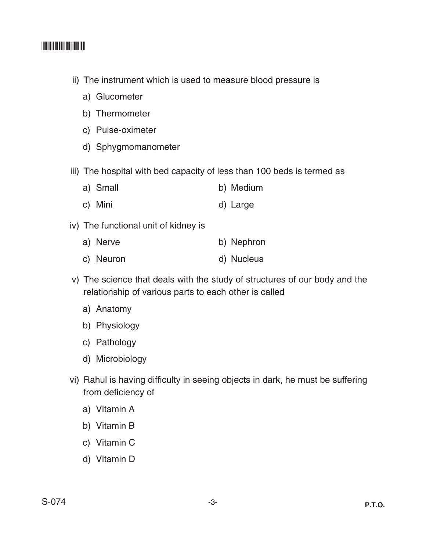## \*S074\*

- ii) The instrument which is used to measure blood pressure is
	- a) Glucometer
	- b) Thermometer
	- c) Pulse-oximeter
	- d) Sphygmomanometer
- iii) The hospital with bed capacity of less than 100 beds is termed as
	- a) Small b) Medium
	- c) Mini d) Large
- iv) The functional unit of kidney is
	- a) Nerve b) Nephron
	- c) Neuron d) Nucleus
- v) The science that deals with the study of structures of our body and the relationship of various parts to each other is called
	- a) Anatomy
	- b) Physiology
	- c) Pathology
	- d) Microbiology
- vi) Rahul is having difficulty in seeing objects in dark, he must be suffering from deficiency of
	- a) Vitamin A
	- b) Vitamin B
	- c) Vitamin C
	- d) Vitamin D